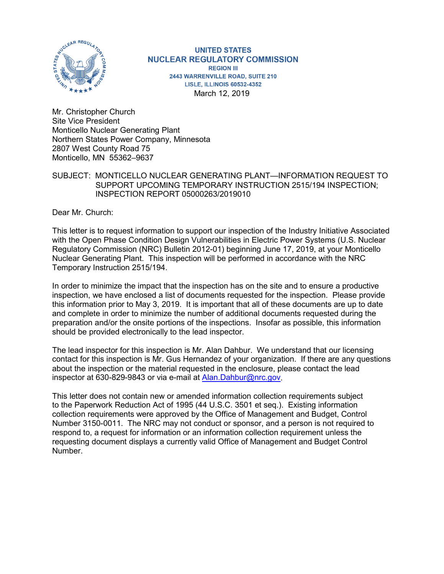

**UNITED STATES NUCLEAR REGULATORY COMMISSION REGION III** 2443 WARRENVILLE ROAD, SUITE 210 **LISLE, ILLINOIS 60532-4352** March 12, 2019

Mr. Christopher Church Site Vice President Monticello Nuclear Generating Plant Northern States Power Company, Minnesota 2807 West County Road 75 Monticello, MN 55362–9637

## SUBJECT: MONTICELLO NUCLEAR GENERATING PLANT—INFORMATION REQUEST TO SUPPORT UPCOMING TEMPORARY INSTRUCTION 2515/194 INSPECTION; INSPECTION REPORT 05000263/2019010

Dear Mr. Church:

This letter is to request information to support our inspection of the Industry Initiative Associated with the Open Phase Condition Design Vulnerabilities in Electric Power Systems (U.S. Nuclear Regulatory Commission (NRC) Bulletin 2012-01) beginning June 17, 2019, at your Monticello Nuclear Generating Plant. This inspection will be performed in accordance with the NRC Temporary Instruction 2515/194.

In order to minimize the impact that the inspection has on the site and to ensure a productive inspection, we have enclosed a list of documents requested for the inspection. Please provide this information prior to May 3, 2019. It is important that all of these documents are up to date and complete in order to minimize the number of additional documents requested during the preparation and/or the onsite portions of the inspections. Insofar as possible, this information should be provided electronically to the lead inspector.

The lead inspector for this inspection is Mr. Alan Dahbur. We understand that our licensing contact for this inspection is Mr. Gus Hernandez of your organization. If there are any questions about the inspection or the material requested in the enclosure, please contact the lead inspector at 630-829-9843 or via e-mail at [Alan.Dahbur@nrc.gov.](mailto:Alan.Dahbur@nrc.gov)

This letter does not contain new or amended information collection requirements subject to the Paperwork Reduction Act of 1995 (44 U.S.C. 3501 et seq.). Existing information collection requirements were approved by the Office of Management and Budget, Control Number 3150-0011. The NRC may not conduct or sponsor, and a person is not required to respond to, a request for information or an information collection requirement unless the requesting document displays a currently valid Office of Management and Budget Control Number.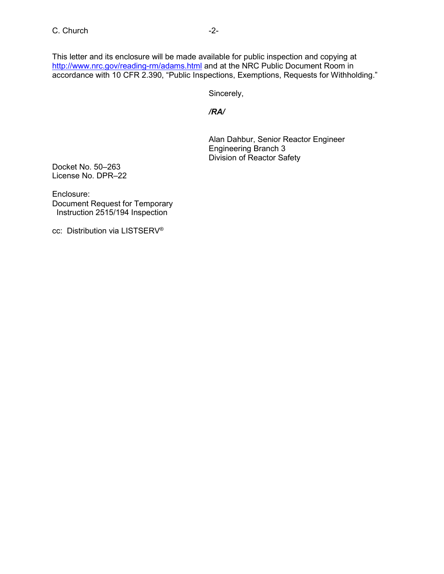This letter and its enclosure will be made available for public inspection and copying at <http://www.nrc.gov/reading-rm/adams.html> and at the NRC Public Document Room in accordance with 10 CFR 2.390, "Public Inspections, Exemptions, Requests for Withholding."

Sincerely,

*/RA/*

Alan Dahbur, Senior Reactor Engineer Engineering Branch 3 Division of Reactor Safety

Docket No. 50–263 License No. DPR–22

Enclosure: Document Request for Temporary Instruction 2515/194 Inspection

cc: Distribution via LISTSERV®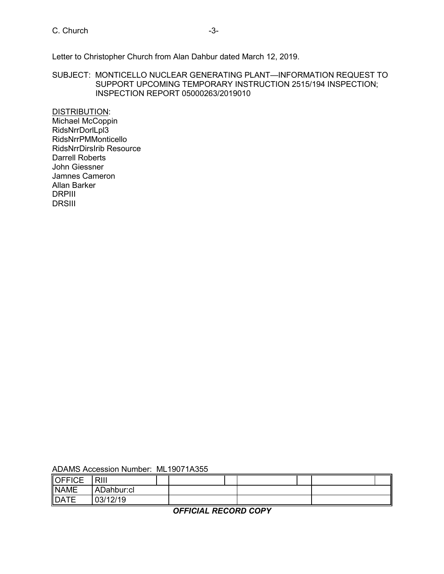## C. Church -3-

Letter to Christopher Church from Alan Dahbur dated March 12, 2019.

SUBJECT: MONTICELLO NUCLEAR GENERATING PLANT—INFORMATION REQUEST TO SUPPORT UPCOMING TEMPORARY INSTRUCTION 2515/194 INSPECTION; INSPECTION REPORT 05000263/2019010

DISTRIBUTION: Michael McCoppin RidsNrrDorlLpl3 RidsNrrPMMonticello RidsNrrDirsIrib Resource Darrell Roberts John Giessner Jamnes Cameron Allan Barker DRPIII DRSIII

| ADAMS Accession Number: ML19071A355 |  |
|-------------------------------------|--|
|-------------------------------------|--|

| <b>OFFICE</b> | <b>RIII</b> |  |  |  |  |
|---------------|-------------|--|--|--|--|
| <b>NAME</b>   | ADahbur:cl  |  |  |  |  |
| <b>DATE</b>   | 03/12/19    |  |  |  |  |

*OFFICIAL RECORD COPY*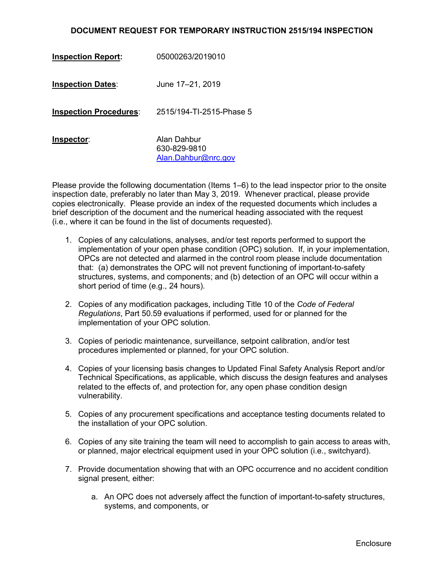## **DOCUMENT REQUEST FOR TEMPORARY INSTRUCTION 2515/194 INSPECTION**

| <b>Inspection Report:</b>     | 05000263/2019010                                   |
|-------------------------------|----------------------------------------------------|
| <b>Inspection Dates:</b>      | June 17-21, 2019                                   |
| <b>Inspection Procedures:</b> | 2515/194-TI-2515-Phase 5                           |
| <u> Inspector:</u>            | Alan Dahbur<br>630-829-9810<br>Alan.Dahbur@nrc.gov |

Please provide the following documentation (Items 1–6) to the lead inspector prior to the onsite inspection date, preferably no later than May 3, 2019. Whenever practical, please provide copies electronically. Please provide an index of the requested documents which includes a brief description of the document and the numerical heading associated with the request (i.e., where it can be found in the list of documents requested).

- 1. Copies of any calculations, analyses, and/or test reports performed to support the implementation of your open phase condition (OPC) solution. If, in your implementation, OPCs are not detected and alarmed in the control room please include documentation that: (a) demonstrates the OPC will not prevent functioning of important-to-safety structures, systems, and components; and (b) detection of an OPC will occur within a short period of time (e.g., 24 hours).
- 2. Copies of any modification packages, including Title 10 of the *Code of Federal Regulations*, Part 50.59 evaluations if performed, used for or planned for the implementation of your OPC solution.
- 3. Copies of periodic maintenance, surveillance, setpoint calibration, and/or test procedures implemented or planned, for your OPC solution.
- 4. Copies of your licensing basis changes to Updated Final Safety Analysis Report and/or Technical Specifications, as applicable, which discuss the design features and analyses related to the effects of, and protection for, any open phase condition design vulnerability.
- 5. Copies of any procurement specifications and acceptance testing documents related to the installation of your OPC solution.
- 6. Copies of any site training the team will need to accomplish to gain access to areas with, or planned, major electrical equipment used in your OPC solution (i.e., switchyard).
- 7. Provide documentation showing that with an OPC occurrence and no accident condition signal present, either:
	- a. An OPC does not adversely affect the function of important-to-safety structures, systems, and components, or